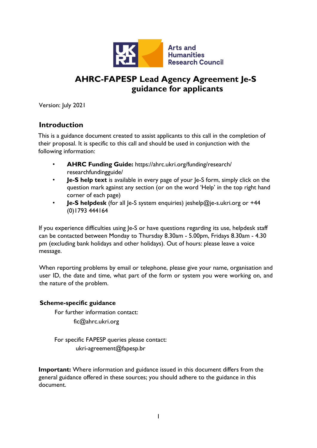

# **AHRC-FAPESP Lead Agency Agreement Je-S guidance for applicants**

Version: July 2021

### **Introduction**

This is a guidance document created to assist applicants to this call in the completion of their proposal. It is specific to this call and should be used in conjunction with the following information:

- **AHRC Funding Guide:** [https://ahrc.ukri.org/funding/research/](https://ahrc.ukri.org/funding/research/researchfundingguide/) [researchfundingguide/](https://ahrc.ukri.org/funding/research/researchfundingguide/)
- **Je-S help text** is available in every page of your Je-S form, simply click on the question mark against any section (or on the word 'Help' in the top right hand corner of each page)
- **Je-S helpdesk** (for all le-S system enquiries) jeshelp@je-s.ukri.org or +44 (0)1793 444164

If you experience difficulties using Je-S or have questions regarding its use, helpdesk staff can be contacted between Monday to Thursday 8.30am - 5.00pm, Fridays 8.30am - 4.30 pm (excluding bank holidays and other holidays). Out of hours: please leave a voice message.

When reporting problems by email or telephone, please give your name, organisation and user ID, the date and time, what part of the form or system you were working on, and the nature of the problem.

#### **Scheme-specific guidance**

For further information contact:

fic@ahrc.ukri.org

For specific FAPESP queries please contact: ukri-agreement@fapesp.br

**Important:** Where information and guidance issued in this document differs from the general guidance offered in these sources; you should adhere to the guidance in this document.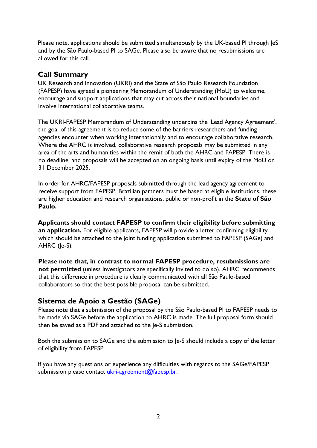Please note, applications should be submitted simultaneously by the UK-based PI through JeS and by the São Paulo-based PI to SAGe. Please also be aware that no resubmissions are allowed for this call.

### **Call Summary**

UK Research and Innovation (UKRI) and the State of São Paulo Research Foundation (FAPESP) have agreed a pioneering Memorandum of Understanding (MoU) to welcome, encourage and support applications that may cut across their national boundaries and involve international collaborative teams.

The UKRI-FAPESP Memorandum of Understanding underpins the 'Lead Agency Agreement', the goal of this agreement is to reduce some of the barriers researchers and funding agencies encounter when working internationally and to encourage collaborative research. Where the AHRC is involved, collaborative research proposals may be submitted in any area of the arts and humanities within the remit of both the AHRC and FAPESP. There is no deadline, and proposals will be accepted on an ongoing basis until expiry of the MoU on 31 December 2025.

In order for AHRC/FAPESP proposals submitted through the lead agency agreement to receive support from FAPESP, Brazilian partners must be based at eligible institutions, these are higher education and research organisations, public or non-profit in the **State of São Paulo.**

**Applicants should contact FAPESP to confirm their eligibility before submitting an application.** For eligible applicants, FAPESP will provide a letter confirming eligibility which should be attached to the joint funding application submitted to FAPESP (SAGe) and AHRC (Je-S).

**Please note that, in contrast to normal FAPESP procedure, resubmissions are not permitted** (unless investigators are specifically invited to do so). AHRC recommends that this difference in procedure is clearly communicated with all São Paulo-based collaborators so that the best possible proposal can be submitted.

# **Sistema de Apoio a Gestão (SAGe)**

Please note that a submission of the proposal by the São Paulo-based PI to FAPESP needs to be made via SAGe before the application to AHRC is made. The full proposal form should then be saved as a PDF and attached to the Je-S submission.

Both the submission to SAGe and the submission to Je-S should include a copy of the letter of eligibility from FAPESP.

If you have any questions or experience any difficulties with regards to the SAGe/FAPESP submission please contact ukri-agreement@fapesp.br.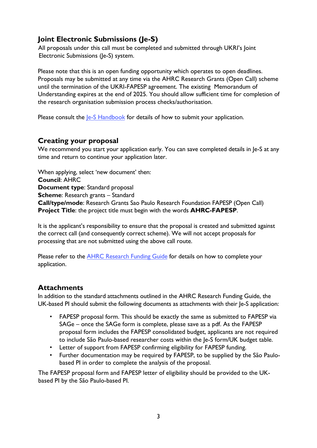# **Joint Electronic Submissions (Je-S)**

All proposals under this call must be completed and submitted through UKRI's Joint Electronic Submissions (Je-S) system.

Please note that this is an open funding opportunity which operates to open deadlines. Proposals may be submitted at any time via the AHRC Research Grants (Open Call) scheme until the termination of the UKRI-FAPESP agreement. The existing Memorandum of Understanding expires at the end of 2025. You should allow sufficient time for completion of the research organisation submission process checks/authorisation.

Please consult the  $Ie-S$  Handbook for details of how to submit your application.

### **Creating your proposal**

We recommend you start your application early. You can save completed details in Je-S at any time and return to continue your application later.

When applying, select 'new document' then: **Council**: AHRC **Document type**: Standard proposal **Scheme**: Research grants – Standard **Call/type/mode**: Research Grants Sao Paulo Research Foundation FAPESP (Open Call) **Project Title**: the project title must begin with the words **AHRC-FAPESP**.

It is the applicant's responsibility to ensure that the proposal is created and submitted against the correct call (and consequently correct scheme). We will not accept proposals for processing that are not submitted using the above call route.

Please refer to the AHRC [Research](https://ahrc.ukri.org/funding/research/researchfundingguide/) Funding Guide for details on how to complete your application.

### **Attachments**

In addition to the standard attachments outlined in the AHRC Research Funding Guide, the UK-based PI should submit the following documents as attachments with their Je-S application:

- FAPESP proposal form. This should be exactly the same as submitted to FAPESP via SAGe – once the SAGe form is complete, please save as a pdf. As the FAPESP proposal form includes the FAPESP consolidated budget, applicants are not required to include São Paulo-based researcher costs within the Je-S form/UK budget table.
- Letter of support from FAPESP confirming eligibility for FAPESP funding.
- Further documentation may be required by FAPESP, to be supplied by the São Paulobased PI in order to complete the analysis of the proposal.

The FAPESP proposal form and FAPESP letter of eligibility should be provided to the UKbased PI by the São Paulo-based PI.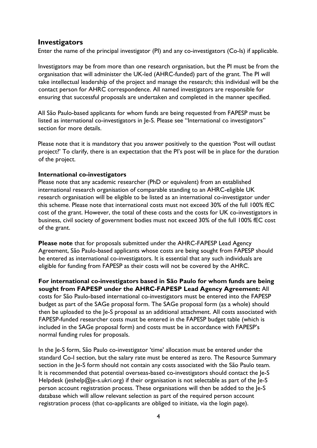#### **Investigators**

Enter the name of the principal investigator (PI) and any co-investigators (Co-Is) if applicable.

Investigators may be from more than one research organisation, but the PI must be from the organisation that will administer the UK-led (AHRC-funded) part of the grant. The PI will take intellectual leadership of the project and manage the research; this individual will be the contact person for AHRC correspondence. All named investigators are responsible for ensuring that successful proposals are undertaken and completed in the manner specified.

All São Paulo-based applicants for whom funds are being requested from FAPESP must be listed as international co-investigators in Je-S. Please see "International co investigators" section for more details.

Please note that it is mandatory that you answer positively to the question 'Post will outlast project?' To clarify, there is an expectation that the PI's post will be in place for the duration of the project.

#### **International co-investigators**

Please note that any academic researcher (PhD or equivalent) from an established international research organisation of comparable standing to an AHRC-eligible UK research organisation will be eligible to be listed as an international co-investigator under this scheme. Please note that international costs must not exceed 30% of the full 100% fEC cost of the grant. However, the total of these costs and the costs for UK co-investigators in business, civil society of government bodies must not exceed 30% of the full 100% fEC cost of the grant.

**Please note** that for proposals submitted under the AHRC-FAPESP Lead Agency Agreement, São Paulo-based applicants whose costs are being sought from FAPESP should be entered as international co-investigators. It is essential that any such individuals are eligible for funding from FAPESP as their costs will not be covered by the AHRC.

**For international co-investigators based in São Paulo for whom funds are being sought from FAPESP under the AHRC-FAPESP Lead Agency Agreement:** All costs for São Paulo-based international co-investigators must be entered into the FAPESP budget as part of the SAGe proposal form. The SAGe proposal form (as a whole) should then be uploaded to the Je-S proposal as an additional attachment. All costs associated with FAPESP-funded researcher costs must be entered in the FAPESP budget table (which is included in the SAGe proposal form) and costs must be in accordance with FAPESP's normal funding rules for proposals.

In the Je-S form, São Paulo co-investigator 'time' allocation must be entered under the standard Co-I section, but the salary rate must be entered as zero. The Resource Summary section in the Je-S form should not contain any costs associated with the São Paulo team. It is recommended that potential overseas-based co-investigators should contact the Je-S Helpdesk (jeshelp@je-s.ukri.org) if their organisation is not selectable as part of the  $Ie-S$ person account registration process. These organisations will then be added to the Je-S database which will allow relevant selection as part of the required person account registration process (that co-applicants are obliged to initiate, via the login page).